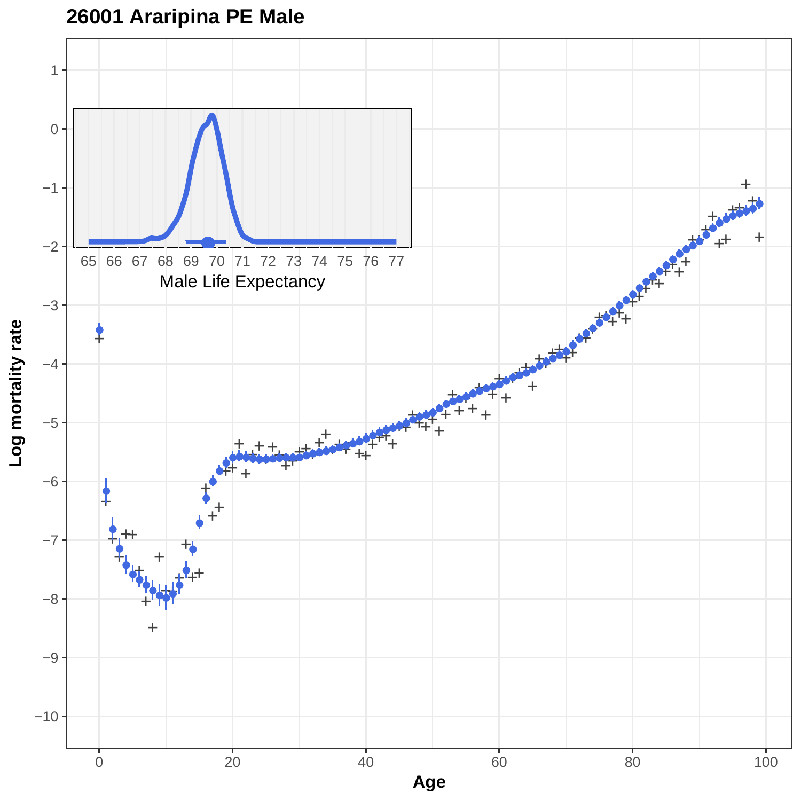

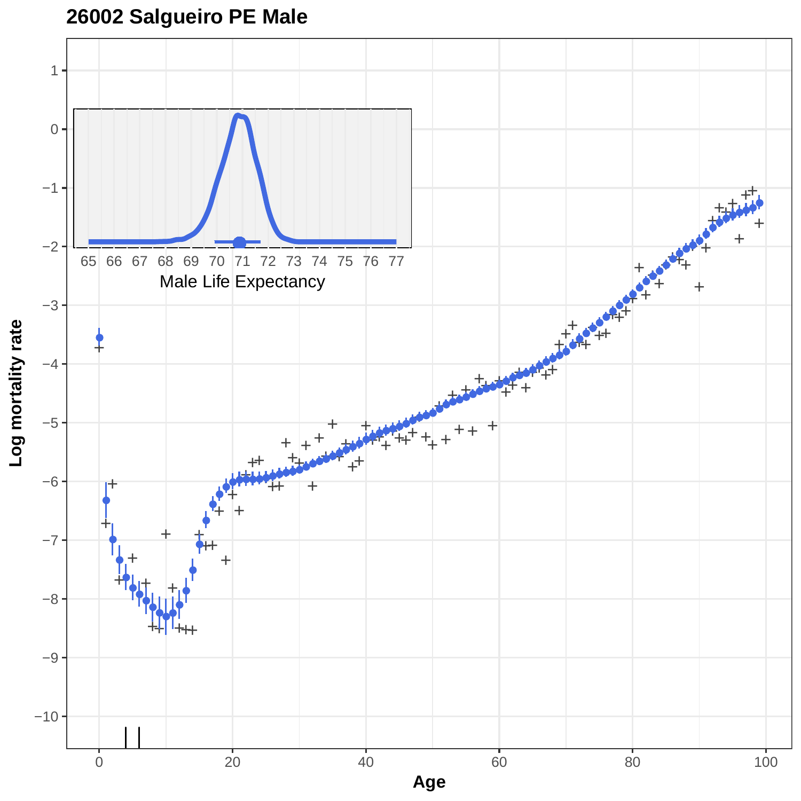**26002 Salgueiro PE Male**

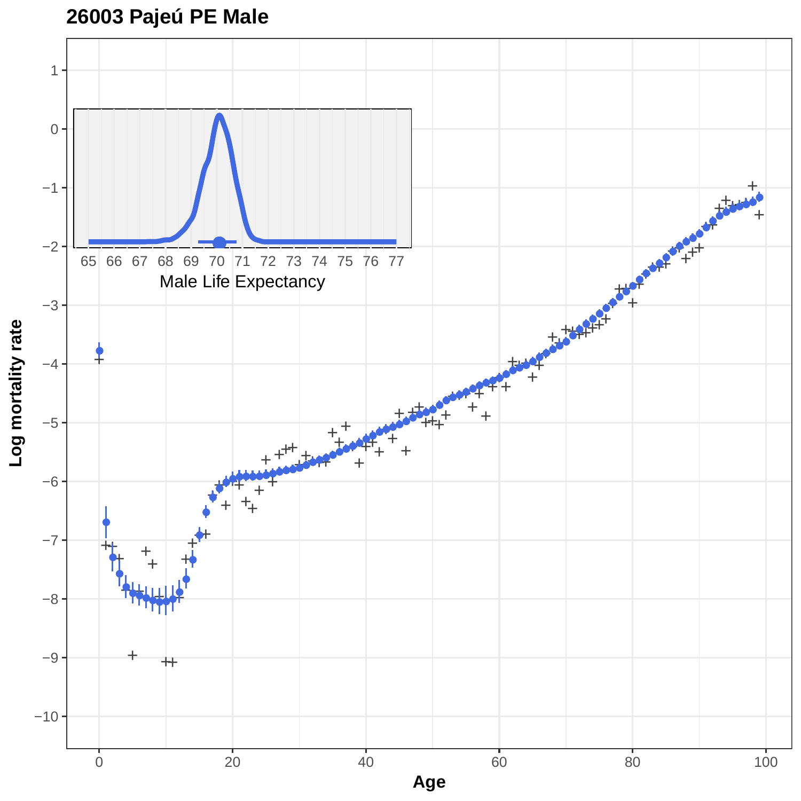

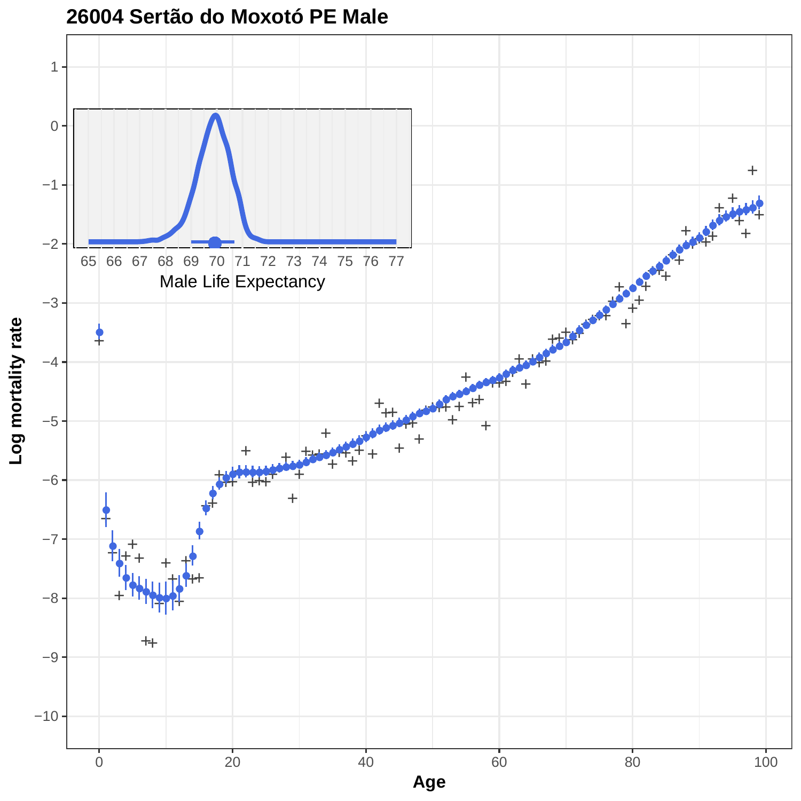

**26004 Sertão do Moxotó PE Male**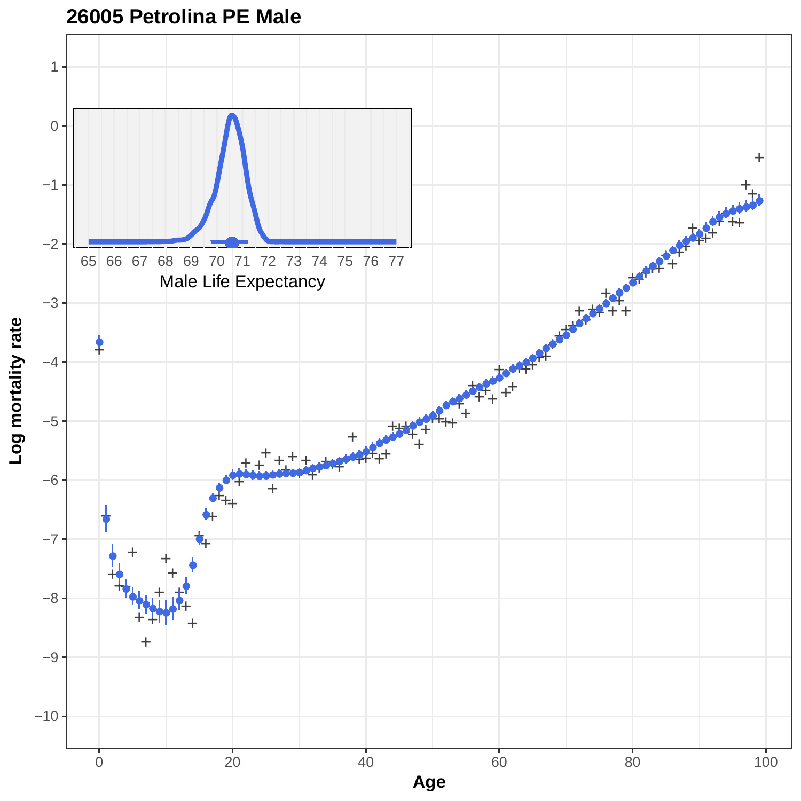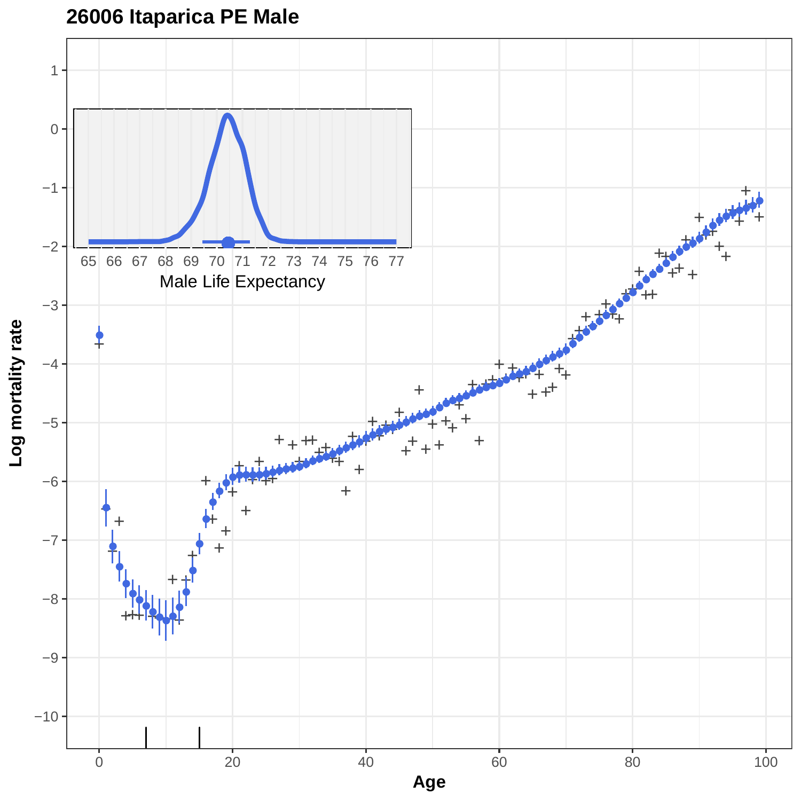# **26006 Itaparica PE Male**

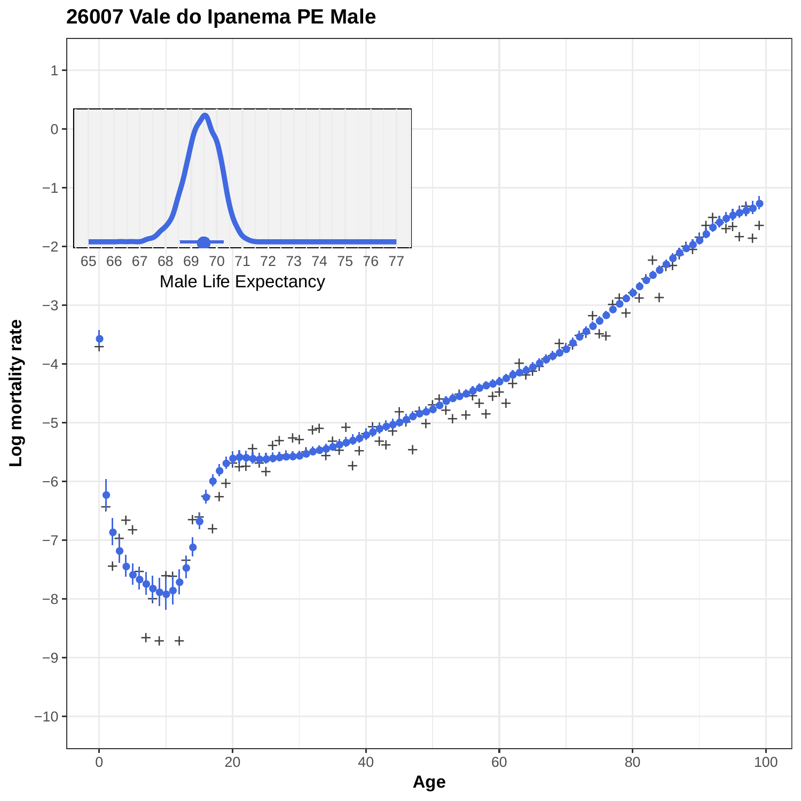

### **26007 Vale do Ipanema PE Male**

**Log mortality rate**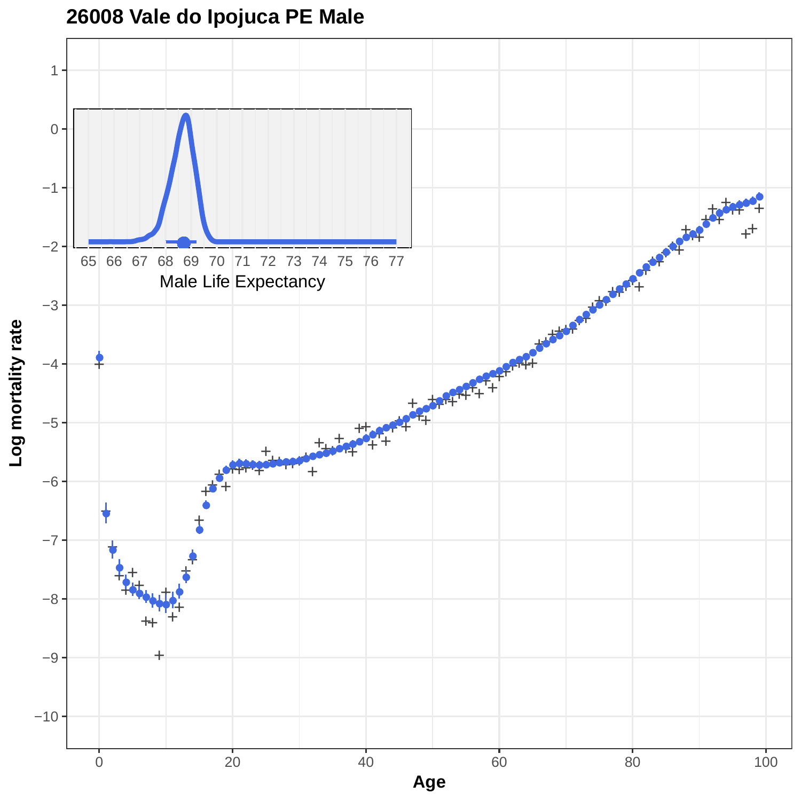**26008 Vale do Ipojuca PE Male**

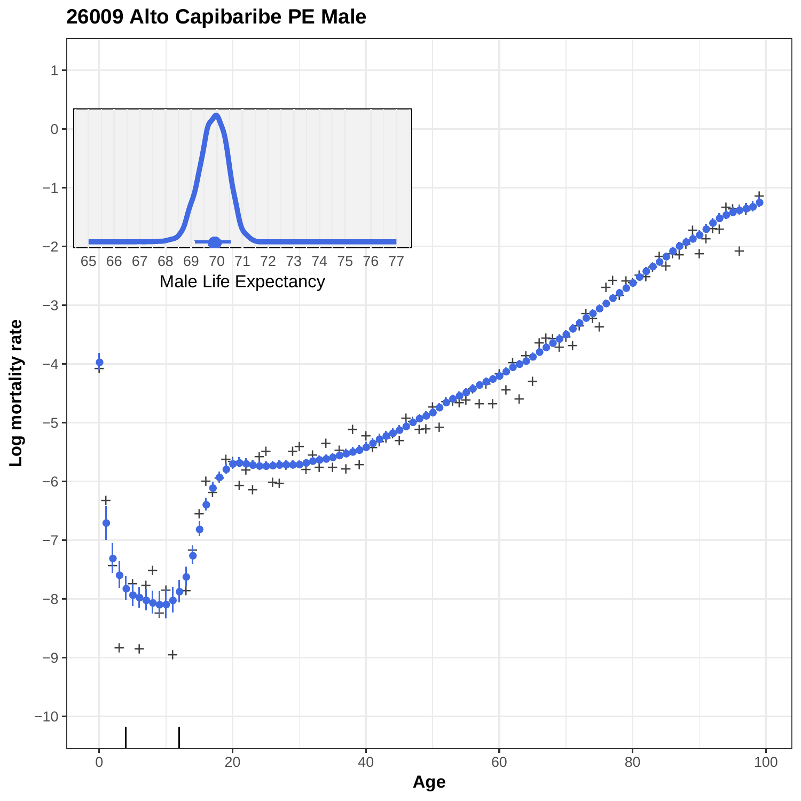

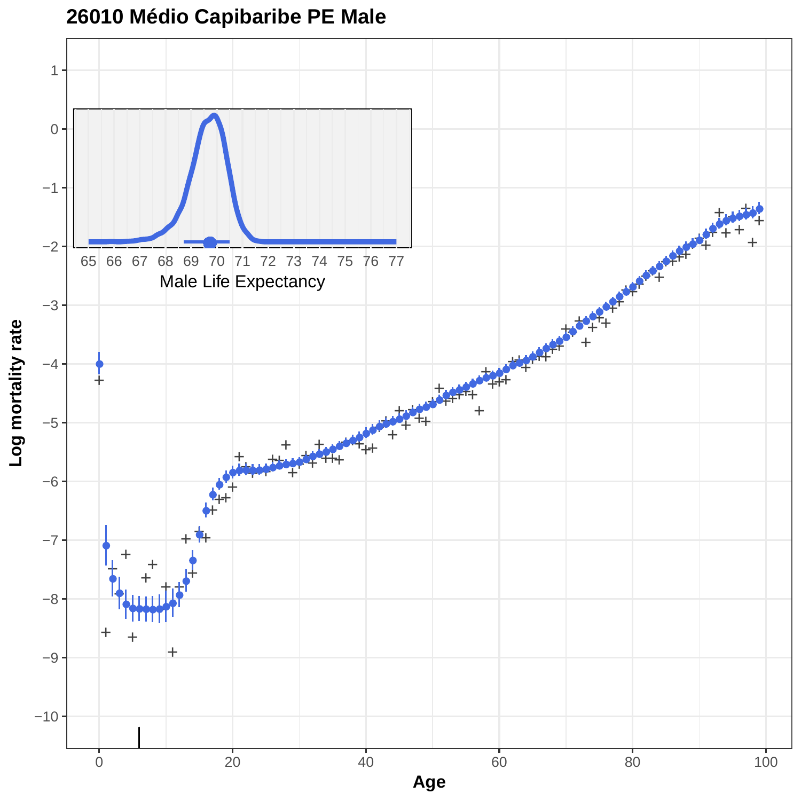

# **26010 Médio Capibaribe PE Male**

**Log mortality rate**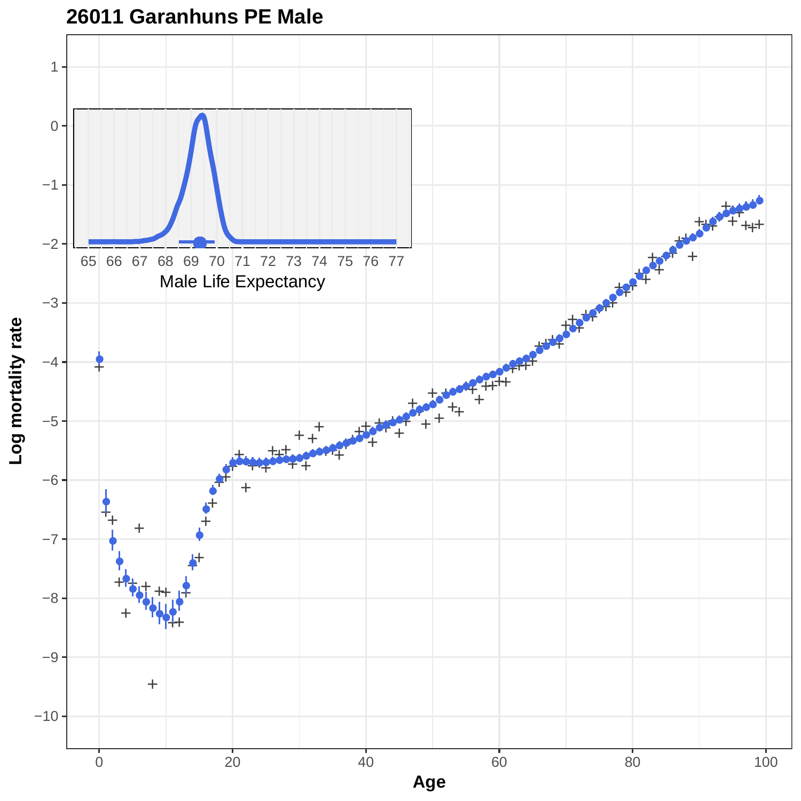

**26011 Garanhuns PE Male**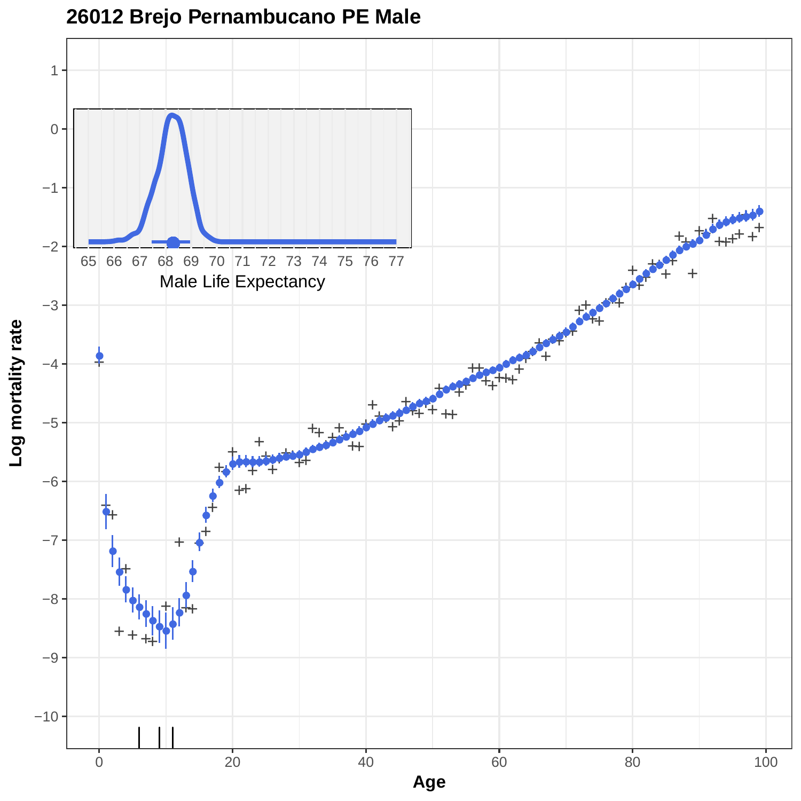

### **26012 Brejo Pernambucano PE Male**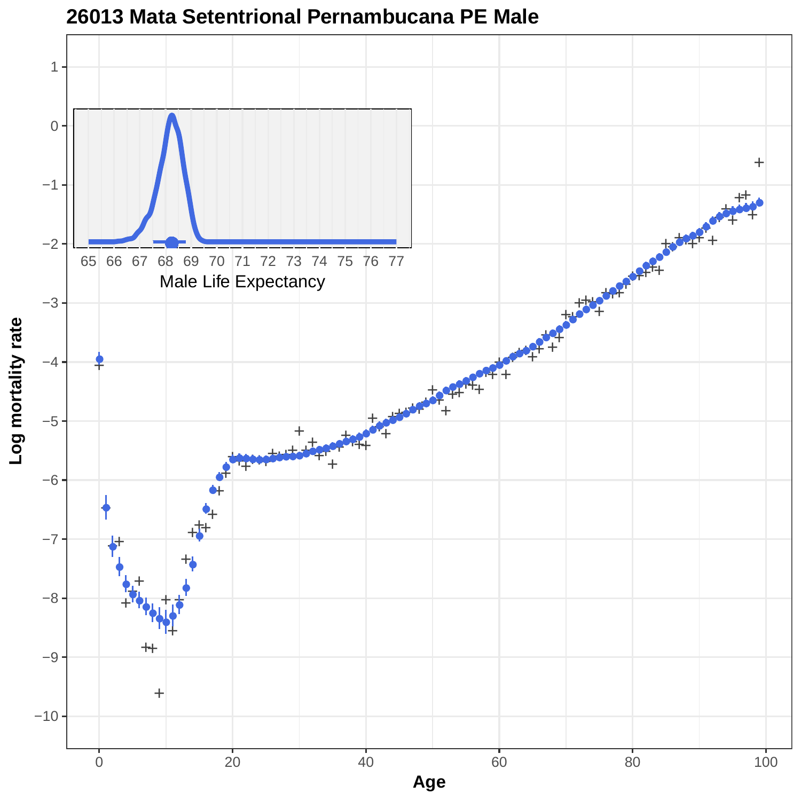

#### **26013 Mata Setentrional Pernambucana PE Male**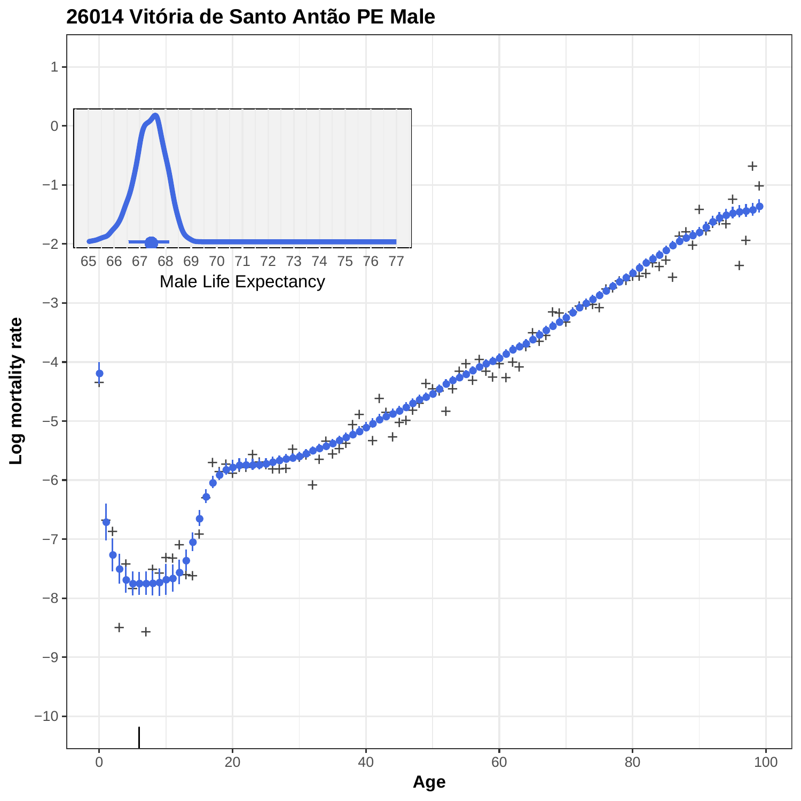

**26014 Vitória de Santo Antão PE Male**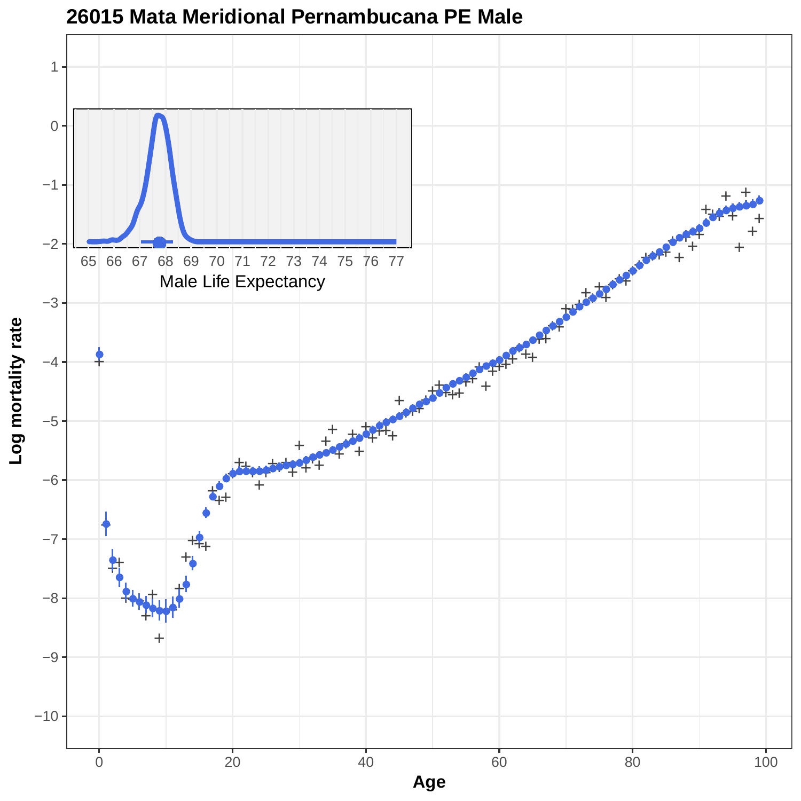

**26015 Mata Meridional Pernambucana PE Male**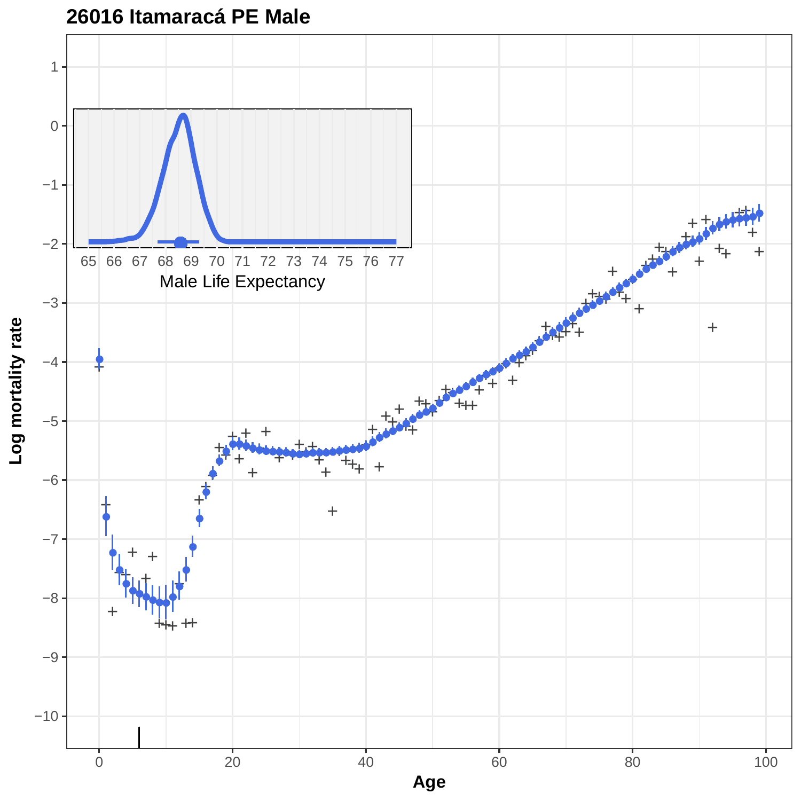

### **26016 Itamaracá PE Male**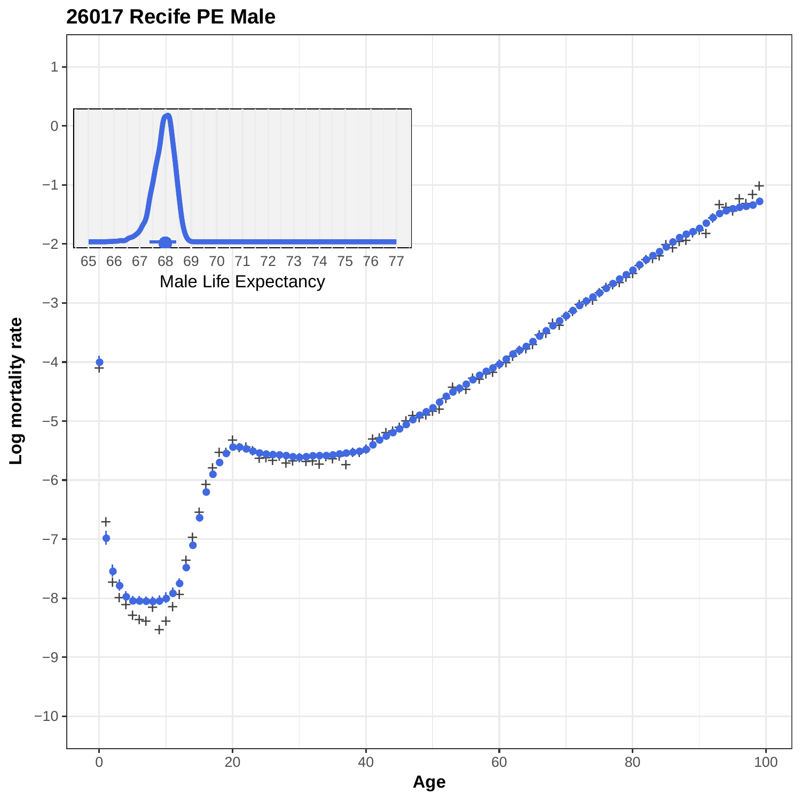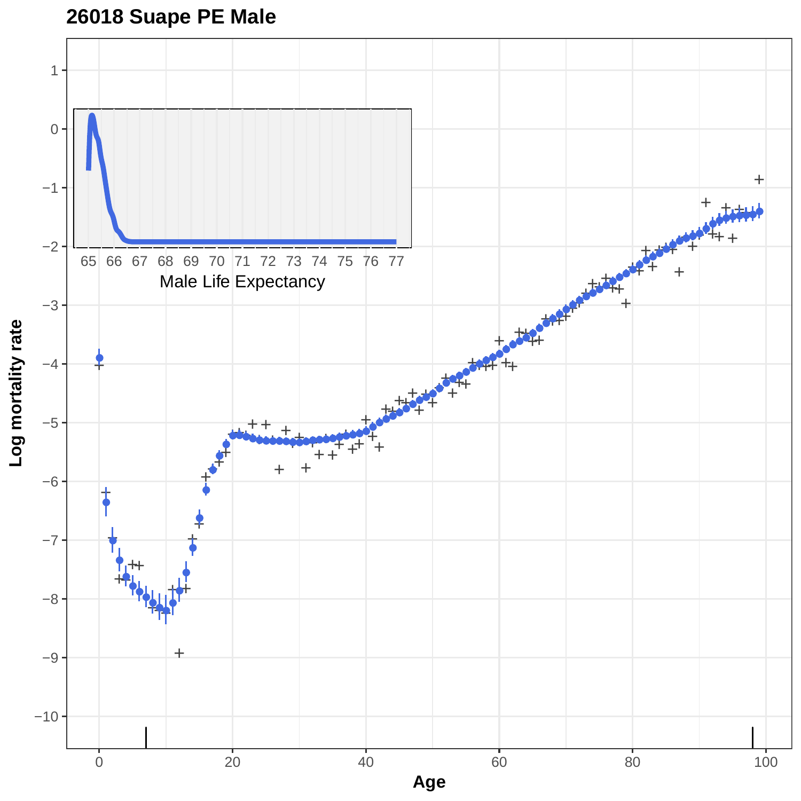# **26018 Suape PE Male**